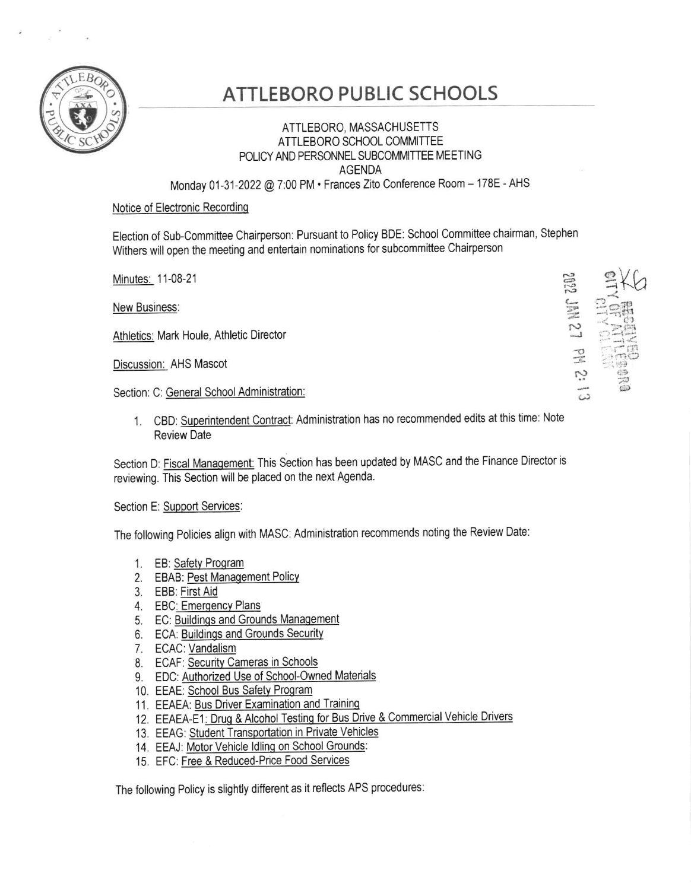

## **ATTLEBORO PUBLIC SCHOOLS**

## ATTLEBORO, MASSACHUSETTS ATTLEBORO SCHOOL COMMITTEE POLICY AND PERSONNEL SUBCOMMITTEE MEETING **AGENDA** Monday 01-31-2022 @ 7:00 PM · Frances Zito Conference Room - 178E - AHS

## Notice of Electronic Recording

Election of Sub-Committee Chairperson: Pursuant to Policy BDE: School Committee chairman, Stephen Withers will open the meeting and entertain nominations for subcommittee Chairperson

Minutes: 11-08-21

New Business:

Athletics: Mark Houle, Athletic Director

Discussion: AHS Mascot

Section: C: General School Administration:

1. CBD: Superintendent Contract: Administration has no recommended edits at this time: Note **Review Date** 

Section D: Fiscal Management: This Section has been updated by MASC and the Finance Director is reviewing. This Section will be placed on the next Agenda.

Section E: Support Services:

The following Policies align with MASC: Administration recommends noting the Review Date:

- 1. EB: Safety Program
- 2. EBAB: Pest Management Policy
- 3. EBB: First Aid
- 4. EBC: Emergency Plans
- 5. EC: Buildings and Grounds Management
- 6. ECA: Buildings and Grounds Security
- 7. ECAC: Vandalism
- 8. ECAF: Security Cameras in Schools
- 9. EDC: Authorized Use of School-Owned Materials
- 10. EEAE: School Bus Safety Program
- 11. EEAEA: Bus Driver Examination and Training
- 12. EEAEA-E1: Drug & Alcohol Testing for Bus Drive & Commercial Vehicle Drivers
- 13. EEAG: Student Transportation in Private Vehicles
- 14. EEAJ: Motor Vehicle Idling on School Grounds:
- 15. EFC: Free & Reduced-Price Food Services

The following Policy is slightly different as it reflects APS procedures:

2012 JMN 27 PM 2: 13